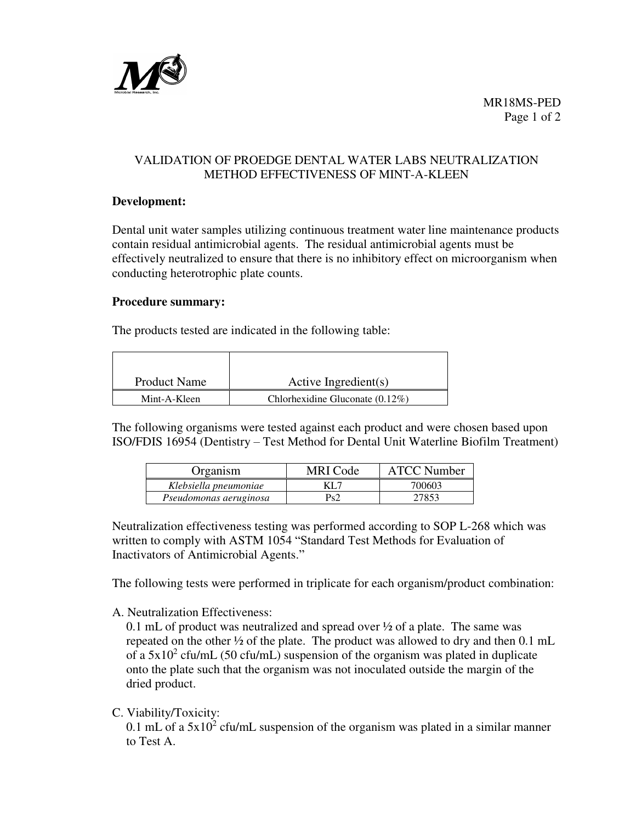

# VALIDATION OF PROEDGE DENTAL WATER LABS NEUTRALIZATION METHOD EFFECTIVENESS OF MINT-A-KLEEN

### **Development:**

Dental unit water samples utilizing continuous treatment water line maintenance products contain residual antimicrobial agents. The residual antimicrobial agents must be effectively neutralized to ensure that there is no inhibitory effect on microorganism when conducting heterotrophic plate counts.

#### **Procedure summary:**

The products tested are indicated in the following table:

| <b>Product Name</b> | Active Ingredient(s)               |  |  |
|---------------------|------------------------------------|--|--|
| Mint-A-Kleen        | Chlorhexidine Gluconate $(0.12\%)$ |  |  |

The following organisms were tested against each product and were chosen based upon ISO/FDIS 16954 (Dentistry – Test Method for Dental Unit Waterline Biofilm Treatment)

| Organism               | MRI Code | <b>ATCC Number</b> |
|------------------------|----------|--------------------|
| Klebsiella pneumoniae  | KL 7     | 700603             |
| Pseudomonas aeruginosa | Ps2      | 27853              |

Neutralization effectiveness testing was performed according to SOP L-268 which was written to comply with ASTM 1054 "Standard Test Methods for Evaluation of Inactivators of Antimicrobial Agents."

The following tests were performed in triplicate for each organism/product combination:

A. Neutralization Effectiveness:

0.1 mL of product was neutralized and spread over ½ of a plate. The same was repeated on the other ½ of the plate. The product was allowed to dry and then 0.1 mL of a  $5x10^2$  cfu/mL (50 cfu/mL) suspension of the organism was plated in duplicate onto the plate such that the organism was not inoculated outside the margin of the dried product.

C. Viability/Toxicity:

0.1 mL of a  $5x10^2$  cfu/mL suspension of the organism was plated in a similar manner to Test A.